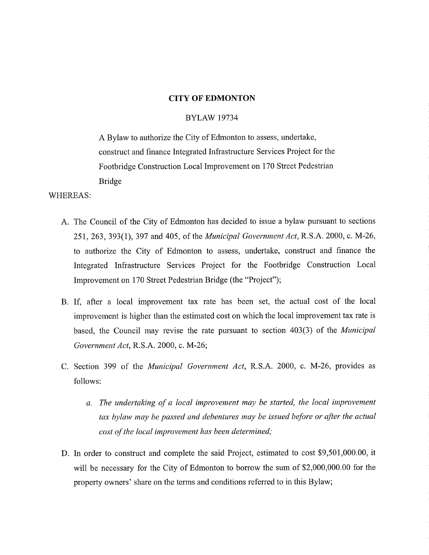# CITY OF EDMONTON

# BYLAW 19734

A Bylaw to authorize the City of Edmonton to assess, undertake, construct and finance Integrated Infrastructure Services Project for the Footbridge Construction Local Improvement on 170 Street Pedestrian Bridge

WHEREAS:

- A. The Council of the City of Edmonton has decided to issue a bylaw pursuant to sections 251, 263, 393(1), 397 and 405, of the *Municipal Government Act,* R.S.A. 2000, c. M-26, to authorize the City of Edmonton to assess, undertake, construct and finance the Integrated Infrastructure Services Project for the Footbridge Construction Local Improvement on 170 Street Pedestrian Bridge (the "Project");
- B. If, after a local improvement tax rate has been set, the actual cost of the local improvement is higher than the estimated cost on which the local improvement tax rate is based, the Council may revise the rate pursuant to section 403(3) of the *Municipal Government Act,* R.S.A. 2000, c. M-26;
- C. Section 399 of the *Municipal Government Act,* R.S.A. 2000, c. M-26, provides as follows:
	- *a. The undertaking of a local improvement may be started, the local improvement tax bylaw may be passed and debentures may be issued before or after the actual cost of the local improvement has been determined;*
- D. In order to construct and complete the said Project, estimated to cost \$9,501,000.00, it will be necessary for the City of Edmonton to borrow the sum of \$2,000,000.00 for the property owners' share on the terms and conditions referred to in this Bylaw;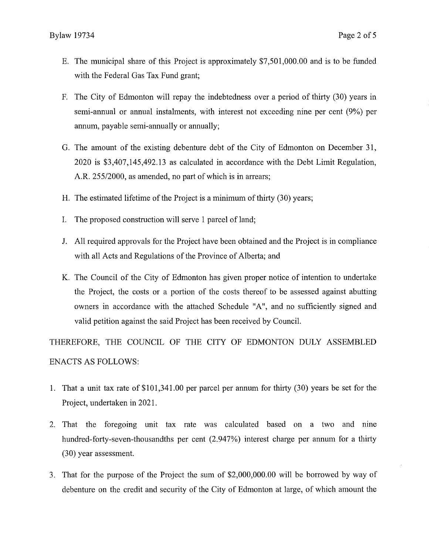- E. The municipal share of this Project is approximately \$7,501,000.00 and is to be funded with the Federal Gas Tax Fund grant;
- F. The City of Edmonton will repay the indebtedness over a period of thirty (30) years in semi-annual or annual instalments, with interest not exceeding nine per cent (9%) per annum, payable semi-annually or annually;
- G. The amount of the existing debenture debt of the City of Edmonton on December 31, 2020 is \$3,407,145,492.13 as calculated in accordance with the Debt Limit Regulation, A.R. 255/2000, as amended, no part of which is in arrears;
- H. The estimated lifetime of the Project is a minimum of thirty (30) years;
- I. The proposed construction will serve 1 parcel of land;
- J. All required approvals for the Project have been obtained and the Project is in compliance with all Acts and Regulations of the Province of Alberta; and
- K. The Council of the City of Edmonton has given proper notice of intention to undertake the Project, the costs or a portion of the costs thereof to be assessed against abutting owners in accordance with the attached Schedule "A", and no sufficiently signed and valid petition against the said Project has been received by Council.

THEREFORE, THE COUNCIL OF THE CITY OF EDMONTON DULY ASSEMBLED ENACTS AS FOLLOWS:

- 1. That a unit tax rate of \$101,341.00 per parcel per annum for thirty (30) years be set for the Project, undertaken in 2021.
- 2. That the foregoing unit tax rate was calculated based on a two and nine hundred-forty-seven-thousandths per cent (2.947%) interest charge per annum for a thirty (30) year assessment.
- 3. That for the purpose of the Project the sum of \$2,000,000.00 will be borrowed by way of debenture on the credit and security of the City of Edmonton at large, of which amount the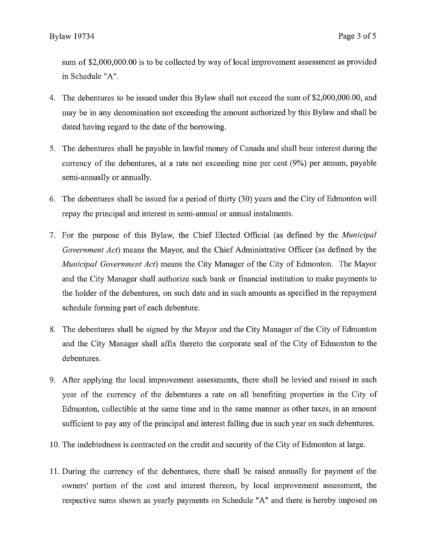sum of \$2,000,000.00 is to be collected by way of local improvement assessment as provided in Schedule "A".

- 4. The debentures to be issued under this Bylaw shall not exceed the sum of \$2,000,000.00, and may be in any denomination not exceeding the amount authorized by this Bylaw and shall be dated having regard to the date of the borrowing.
- 5. The debentures shall be payable in lawful money of Canada and shall bear interest during the currency of the debentures, at a rate not exceeding nine per cent (9%) per annum, payable semi-annually or annually.
- 6. The debentures shall be issued for a period of thirty (30) years and the City of Edmonton will repay the principal and interest in semi-annual or annual instalments.
- 7. For the purpose of this Bylaw, the Chief Elected Official (as defined by the *Municipal Government Act)* means the Mayor, and the Chief Administrative Officer (as defined by the *Municipal Government Act)* means the City Manager of the City of Edmonton. The Mayor and the City Manager shall authorize such bank or financial institution to make payments to the holder of the debentures, on such date and in such amounts as specified in the repayment schedule forming part of each debenture.
- 8. The debentures shall be signed by the Mayor and the City Manager of the City of Edmonton and the City Manager shall affix thereto the corporate seal of the City of Edmonton to the debentures.
- 9. After applying the local improvement assessments, there shall be levied and raised in each year of the currency of the debentures a rate on all benefiting properties in the City of Edmonton, collectible at the same time and in the same manner as other taxes, in an amount sufficient to pay any of the principal and interest falling due in such year on such debentures.
- 10.The indebtedness is contracted on the credit and security of the City of Edmonton at large.
- 11.During the currency of the debentures, there shall be raised annually for payment of the owners' portion of the cost and interest thereon, by local improvement assessment, the respective sums shown as yearly payments on Schedule "A" and there is hereby imposed on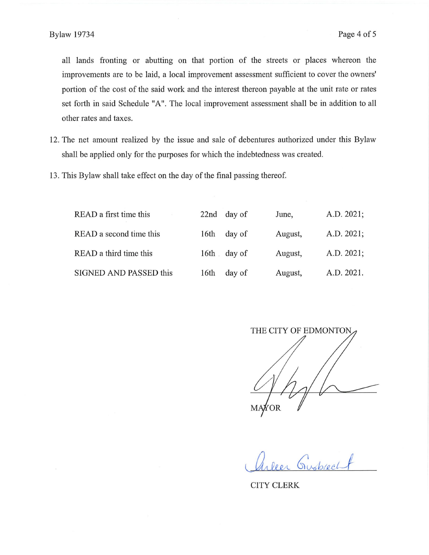all lands fronting or abutting on that portion of the streets or places whereon the improvements are to be laid, a local improvement assessment sufficient to cover the owners' portion of the cost of the said work and the interest thereon payable at the unit rate or rates set forth in said Schedule "A". The local improvement assessment shall be in addition to all other rates and taxes.

- 12.The net amount realized by the issue and sale of debentures authorized under this Bylaw shall be applied only for the purposes for which the indebtedness was created.
- 13.This Bylaw shall take effect on the day of the final passing thereof

| READ a first time this  |                  | 22nd day of | June,   | A.D. 2021; |
|-------------------------|------------------|-------------|---------|------------|
| READ a second time this | 16 <sup>th</sup> | day of      | August, | A.D. 2021; |
| READ a third time this  |                  | 16th day of | August, | A.D. 2021; |
| SIGNED AND PASSED this  | 16th             | day of      | August, | A.D. 2021. |

THE CITY OF EDMONTON MAYOR

*CcA6/07.e.eJ*

CITY CLERK